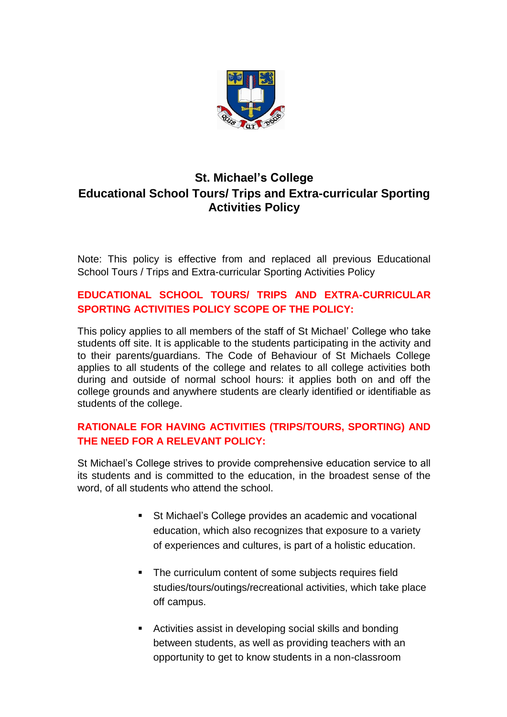

# **St. Michael's College Educational School Tours/ Trips and Extra-curricular Sporting Activities Policy**

Note: This policy is effective from and replaced all previous Educational School Tours / Trips and Extra-curricular Sporting Activities Policy

### **EDUCATIONAL SCHOOL TOURS/ TRIPS AND EXTRA-CURRICULAR SPORTING ACTIVITIES POLICY SCOPE OF THE POLICY:**

This policy applies to all members of the staff of St Michael' College who take students off site. It is applicable to the students participating in the activity and to their parents/guardians. The Code of Behaviour of St Michaels College applies to all students of the college and relates to all college activities both during and outside of normal school hours: it applies both on and off the college grounds and anywhere students are clearly identified or identifiable as students of the college.

## **RATIONALE FOR HAVING ACTIVITIES (TRIPS/TOURS, SPORTING) AND THE NEED FOR A RELEVANT POLICY:**

St Michael's College strives to provide comprehensive education service to all its students and is committed to the education, in the broadest sense of the word, of all students who attend the school.

- St Michael's College provides an academic and vocational education, which also recognizes that exposure to a variety of experiences and cultures, is part of a holistic education.
- The curriculum content of some subjects requires field studies/tours/outings/recreational activities, which take place off campus.
- Activities assist in developing social skills and bonding between students, as well as providing teachers with an opportunity to get to know students in a non-classroom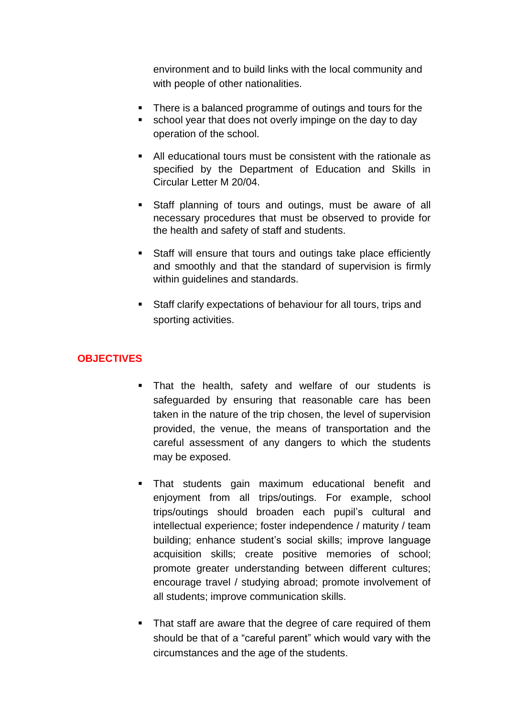environment and to build links with the local community and with people of other nationalities.

- There is a balanced programme of outings and tours for the
- school year that does not overly impinge on the day to day operation of the school.
- All educational tours must be consistent with the rationale as specified by the Department of Education and Skills in Circular Letter M 20/04.
- **Staff planning of tours and outings, must be aware of all** necessary procedures that must be observed to provide for the health and safety of staff and students.
- Staff will ensure that tours and outings take place efficiently and smoothly and that the standard of supervision is firmly within quidelines and standards.
- Staff clarify expectations of behaviour for all tours, trips and sporting activities.

# **OBJECTIVES**

- That the health, safety and welfare of our students is safeguarded by ensuring that reasonable care has been taken in the nature of the trip chosen, the level of supervision provided, the venue, the means of transportation and the careful assessment of any dangers to which the students may be exposed.
- That students gain maximum educational benefit and enjoyment from all trips/outings. For example, school trips/outings should broaden each pupil's cultural and intellectual experience; foster independence / maturity / team building; enhance student's social skills; improve language acquisition skills; create positive memories of school; promote greater understanding between different cultures; encourage travel / studying abroad; promote involvement of all students; improve communication skills.
- That staff are aware that the degree of care required of them should be that of a "careful parent" which would vary with the circumstances and the age of the students.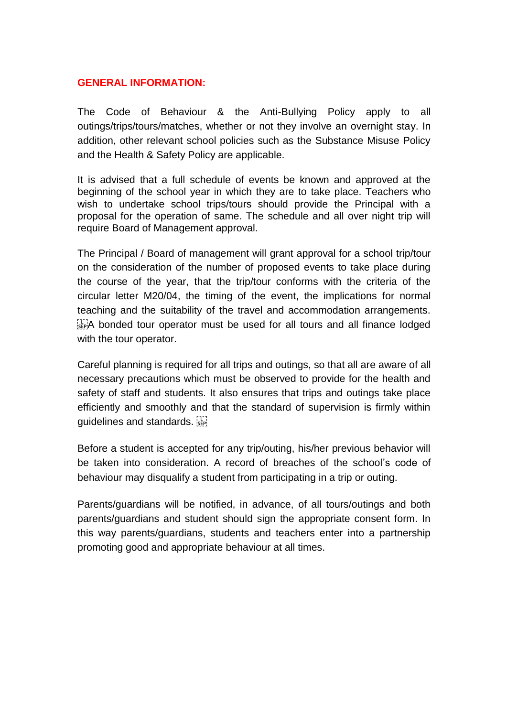#### **GENERAL INFORMATION:**

The Code of Behaviour & the Anti-Bullying Policy apply to all outings/trips/tours/matches, whether or not they involve an overnight stay. In addition, other relevant school policies such as the Substance Misuse Policy and the Health & Safety Policy are applicable.

It is advised that a full schedule of events be known and approved at the beginning of the school year in which they are to take place. Teachers who wish to undertake school trips/tours should provide the Principal with a proposal for the operation of same. The schedule and all over night trip will require Board of Management approval.

The Principal / Board of management will grant approval for a school trip/tour on the consideration of the number of proposed events to take place during the course of the year, that the trip/tour conforms with the criteria of the circular letter M20/04, the timing of the event, the implications for normal teaching and the suitability of the travel and accommodation arrangements. A bonded tour operator must be used for all tours and all finance lodged with the tour operator.

Careful planning is required for all trips and outings, so that all are aware of all necessary precautions which must be observed to provide for the health and safety of staff and students. It also ensures that trips and outings take place efficiently and smoothly and that the standard of supervision is firmly within guidelines and standards.

Before a student is accepted for any trip/outing, his/her previous behavior will be taken into consideration. A record of breaches of the school's code of behaviour may disqualify a student from participating in a trip or outing.

Parents/guardians will be notified, in advance, of all tours/outings and both parents/guardians and student should sign the appropriate consent form. In this way parents/guardians, students and teachers enter into a partnership promoting good and appropriate behaviour at all times.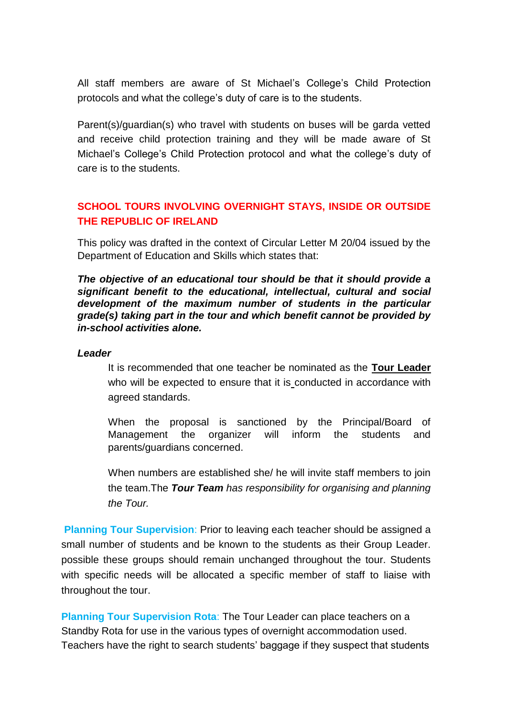All staff members are aware of St Michael's College's Child Protection protocols and what the college's duty of care is to the students.

Parent(s)/guardian(s) who travel with students on buses will be garda vetted and receive child protection training and they will be made aware of St Michael's College's Child Protection protocol and what the college's duty of care is to the students.

## **SCHOOL TOURS INVOLVING OVERNIGHT STAYS, INSIDE OR OUTSIDE THE REPUBLIC OF IRELAND**

This policy was drafted in the context of Circular Letter M 20/04 issued by the Department of Education and Skills which states that:

*The objective of an educational tour should be that it should provide a significant benefit to the educational, intellectual, cultural and social development of the maximum number of students in the particular grade(s) taking part in the tour and which benefit cannot be provided by in-school activities alone.*

#### *Leader*

It is recommended that one teacher be nominated as the **Tour Leader** who will be expected to ensure that it is conducted in accordance with agreed standards.

When the proposal is sanctioned by the Principal/Board of Management the organizer will inform the students and parents/guardians concerned.

When numbers are established she/ he will invite staff members to join the team.The *Tour Team has responsibility for organising and planning the Tour.*

**Planning Tour Supervision**: Prior to leaving each teacher should be assigned a small number of students and be known to the students as their Group Leader. possible these groups should remain unchanged throughout the tour. Students with specific needs will be allocated a specific member of staff to liaise with throughout the tour.

**Planning Tour Supervision Rota**: The Tour Leader can place teachers on a Standby Rota for use in the various types of overnight accommodation used. Teachers have the right to search students' baggage if they suspect that students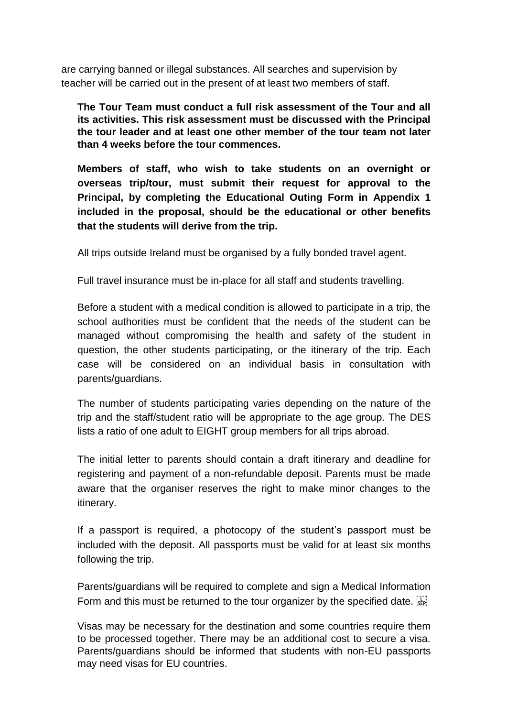are carrying banned or illegal substances. All searches and supervision by teacher will be carried out in the present of at least two members of staff.

**The Tour Team must conduct a full risk assessment of the Tour and all its activities. This risk assessment must be discussed with the Principal the tour leader and at least one other member of the tour team not later than 4 weeks before the tour commences.**

**Members of staff, who wish to take students on an overnight or overseas trip/tour, must submit their request for approval to the Principal, by completing the Educational Outing Form in Appendix 1 included in the proposal, should be the educational or other benefits that the students will derive from the trip.**

All trips outside Ireland must be organised by a fully bonded travel agent.

Full travel insurance must be in-place for all staff and students travelling.

Before a student with a medical condition is allowed to participate in a trip, the school authorities must be confident that the needs of the student can be managed without compromising the health and safety of the student in question, the other students participating, or the itinerary of the trip. Each case will be considered on an individual basis in consultation with parents/guardians.

The number of students participating varies depending on the nature of the trip and the staff/student ratio will be appropriate to the age group. The DES lists a ratio of one adult to EIGHT group members for all trips abroad.

The initial letter to parents should contain a draft itinerary and deadline for registering and payment of a non-refundable deposit. Parents must be made aware that the organiser reserves the right to make minor changes to the itinerary.

If a passport is required, a photocopy of the student's passport must be included with the deposit. All passports must be valid for at least six months following the trip.

Parents/guardians will be required to complete and sign a Medical Information Form and this must be returned to the tour organizer by the specified date.  $\frac{1}{15}$ 

Visas may be necessary for the destination and some countries require them to be processed together. There may be an additional cost to secure a visa. Parents/guardians should be informed that students with non-EU passports may need visas for EU countries.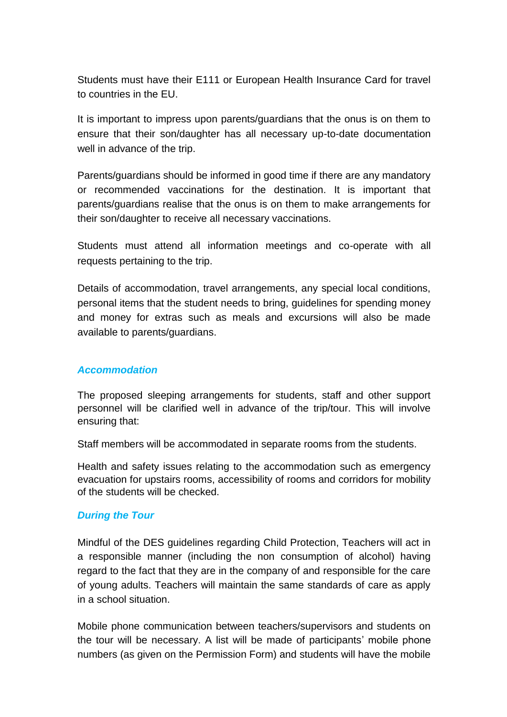Students must have their E111 or European Health Insurance Card for travel to countries in the EU.

It is important to impress upon parents/guardians that the onus is on them to ensure that their son/daughter has all necessary up-to-date documentation well in advance of the trip.

Parents/guardians should be informed in good time if there are any mandatory or recommended vaccinations for the destination. It is important that parents/guardians realise that the onus is on them to make arrangements for their son/daughter to receive all necessary vaccinations.

Students must attend all information meetings and co-operate with all requests pertaining to the trip.

Details of accommodation, travel arrangements, any special local conditions, personal items that the student needs to bring, guidelines for spending money and money for extras such as meals and excursions will also be made available to parents/guardians.

### *Accommodation*

The proposed sleeping arrangements for students, staff and other support personnel will be clarified well in advance of the trip/tour. This will involve ensuring that:

Staff members will be accommodated in separate rooms from the students.

Health and safety issues relating to the accommodation such as emergency evacuation for upstairs rooms, accessibility of rooms and corridors for mobility of the students will be checked.

#### *During the Tour*

Mindful of the DES guidelines regarding Child Protection, Teachers will act in a responsible manner (including the non consumption of alcohol) having regard to the fact that they are in the company of and responsible for the care of young adults. Teachers will maintain the same standards of care as apply in a school situation.

Mobile phone communication between teachers/supervisors and students on the tour will be necessary. A list will be made of participants' mobile phone numbers (as given on the Permission Form) and students will have the mobile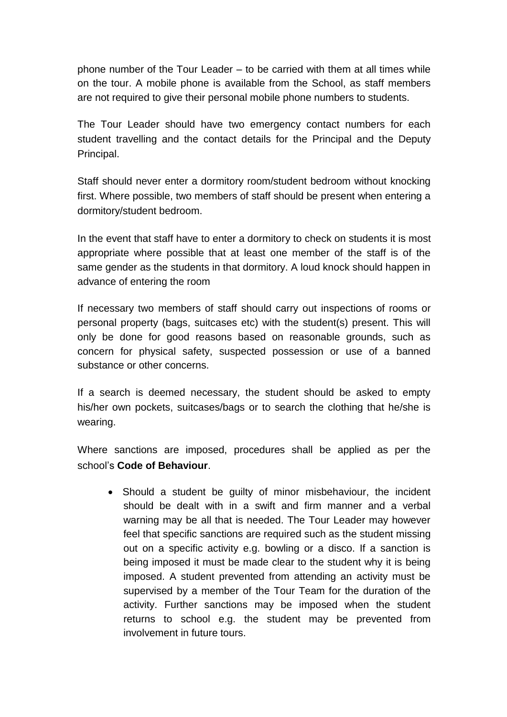phone number of the Tour Leader – to be carried with them at all times while on the tour. A mobile phone is available from the School, as staff members are not required to give their personal mobile phone numbers to students.

The Tour Leader should have two emergency contact numbers for each student travelling and the contact details for the Principal and the Deputy Principal.

Staff should never enter a dormitory room/student bedroom without knocking first. Where possible, two members of staff should be present when entering a dormitory/student bedroom.

In the event that staff have to enter a dormitory to check on students it is most appropriate where possible that at least one member of the staff is of the same gender as the students in that dormitory. A loud knock should happen in advance of entering the room

If necessary two members of staff should carry out inspections of rooms or personal property (bags, suitcases etc) with the student(s) present. This will only be done for good reasons based on reasonable grounds, such as concern for physical safety, suspected possession or use of a banned substance or other concerns.

If a search is deemed necessary, the student should be asked to empty his/her own pockets, suitcases/bags or to search the clothing that he/she is wearing.

Where sanctions are imposed, procedures shall be applied as per the school's **Code of Behaviour**.

• Should a student be quilty of minor misbehaviour, the incident should be dealt with in a swift and firm manner and a verbal warning may be all that is needed. The Tour Leader may however feel that specific sanctions are required such as the student missing out on a specific activity e.g. bowling or a disco. If a sanction is being imposed it must be made clear to the student why it is being imposed. A student prevented from attending an activity must be supervised by a member of the Tour Team for the duration of the activity. Further sanctions may be imposed when the student returns to school e.g. the student may be prevented from involvement in future tours.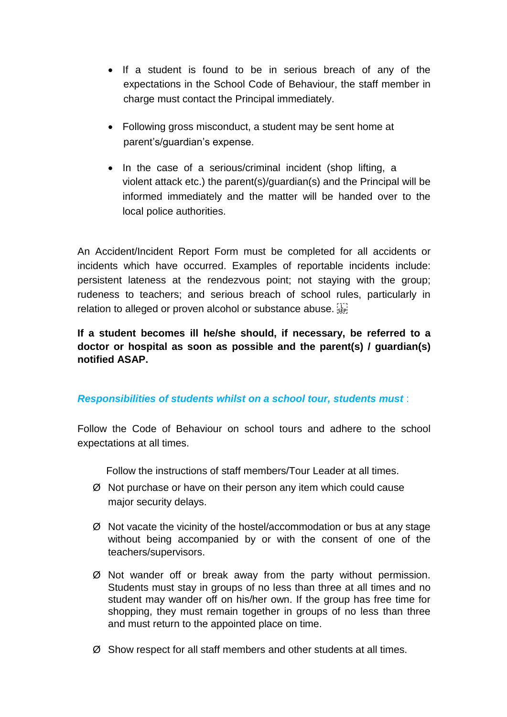- If a student is found to be in serious breach of any of the expectations in the School Code of Behaviour, the staff member in charge must contact the Principal immediately.
- Following gross misconduct, a student may be sent home at parent's/guardian's expense.
- In the case of a serious/criminal incident (shop lifting, a violent attack etc.) the parent(s)/guardian(s) and the Principal will be informed immediately and the matter will be handed over to the local police authorities.

An Accident/Incident Report Form must be completed for all accidents or incidents which have occurred. Examples of reportable incidents include: persistent lateness at the rendezvous point; not staying with the group; rudeness to teachers; and serious breach of school rules, particularly in relation to alleged or proven alcohol or substance abuse. [17]

**If a student becomes ill he/she should, if necessary, be referred to a doctor or hospital as soon as possible and the parent(s) / guardian(s) notified ASAP.**

### *Responsibilities of students whilst on a school tour, students must* :

Follow the Code of Behaviour on school tours and adhere to the school expectations at all times.

Follow the instructions of staff members/Tour Leader at all times.

- Ø Not purchase or have on their person any item which could cause major security delays.
- Ø Not vacate the vicinity of the hostel/accommodation or bus at any stage without being accompanied by or with the consent of one of the teachers/supervisors.
- Ø Not wander off or break away from the party without permission. Students must stay in groups of no less than three at all times and no student may wander off on his/her own. If the group has free time for shopping, they must remain together in groups of no less than three and must return to the appointed place on time.
- Ø Show respect for all staff members and other students at all times.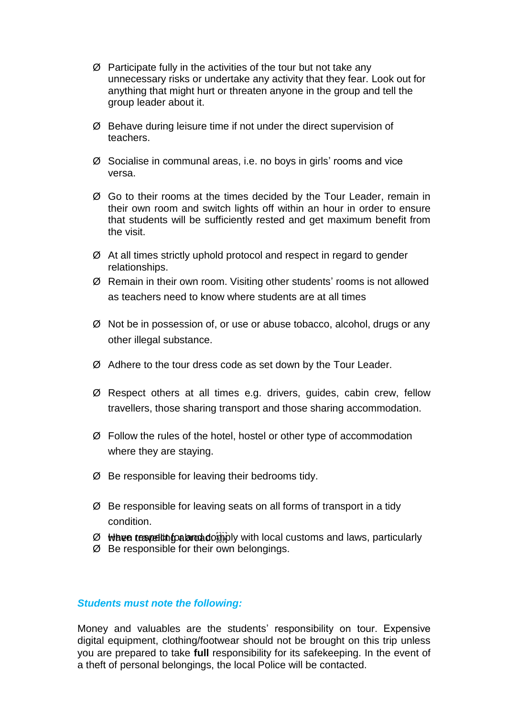- Ø Participate fully in the activities of the tour but not take any unnecessary risks or undertake any activity that they fear. Look out for anything that might hurt or threaten anyone in the group and tell the group leader about it.
- Ø Behave during leisure time if not under the direct supervision of teachers.
- Ø Socialise in communal areas, i.e. no boys in girls' rooms and vice versa.
- Ø Go to their rooms at the times decided by the Tour Leader, remain in their own room and switch lights off within an hour in order to ensure that students will be sufficiently rested and get maximum benefit from the visit.
- Ø At all times strictly uphold protocol and respect in regard to gender relationships.
- Ø Remain in their own room. Visiting other students' rooms is not allowed as teachers need to know where students are at all times
- Ø Not be in possession of, or use or abuse tobacco, alcohol, drugs or any other illegal substance.
- Ø Adhere to the tour dress code as set down by the Tour Leader.
- Ø Respect others at all times e.g. drivers, guides, cabin crew, fellow travellers, those sharing transport and those sharing accommodation.
- Ø Follow the rules of the hotel, hostel or other type of accommodation where they are staying.
- Ø Be responsible for leaving their bedrooms tidy.
- Ø Be responsible for leaving seats on all forms of transport in a tidy condition.
- $\emptyset$  when tespection to a large depend with local customs and laws, particularly
- Ø Be responsible for their own belongings.

#### *Students must note the following:*

Money and valuables are the students' responsibility on tour. Expensive digital equipment, clothing/footwear should not be brought on this trip unless you are prepared to take **full** responsibility for its safekeeping. In the event of a theft of personal belongings, the local Police will be contacted.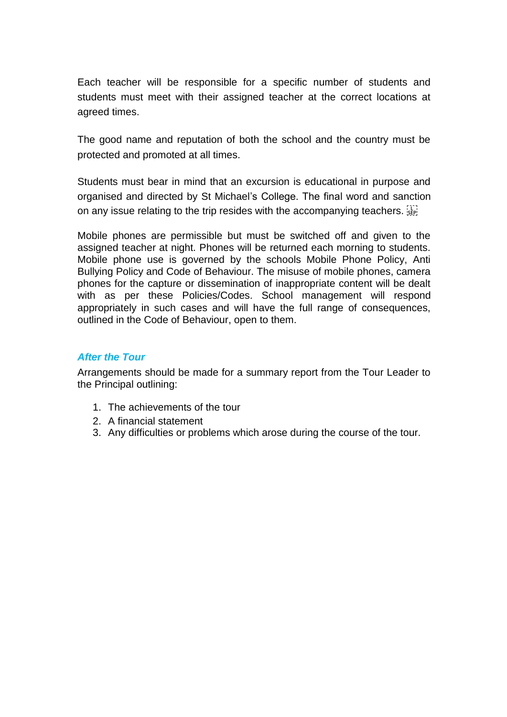Each teacher will be responsible for a specific number of students and students must meet with their assigned teacher at the correct locations at agreed times.

The good name and reputation of both the school and the country must be protected and promoted at all times.

Students must bear in mind that an excursion is educational in purpose and organised and directed by St Michael's College. The final word and sanction on any issue relating to the trip resides with the accompanying teachers.  $\frac{1}{15}$ 

Mobile phones are permissible but must be switched off and given to the assigned teacher at night. Phones will be returned each morning to students. Mobile phone use is governed by the schools Mobile Phone Policy, Anti Bullying Policy and Code of Behaviour. The misuse of mobile phones, camera phones for the capture or dissemination of inappropriate content will be dealt with as per these Policies/Codes. School management will respond appropriately in such cases and will have the full range of consequences, outlined in the Code of Behaviour, open to them.

#### *After the Tour*

Arrangements should be made for a summary report from the Tour Leader to the Principal outlining:

- 1. The achievements of the tour
- 2. A financial statement
- 3. Any difficulties or problems which arose during the course of the tour.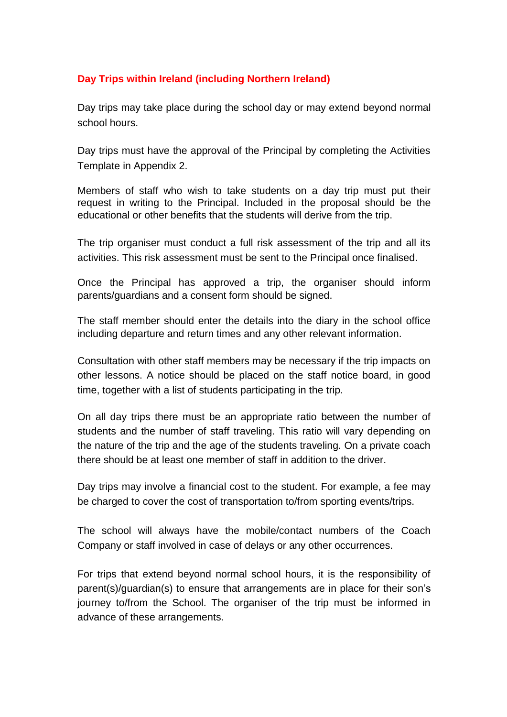### **Day Trips within Ireland (including Northern Ireland)**

Day trips may take place during the school day or may extend beyond normal school hours.

Day trips must have the approval of the Principal by completing the Activities Template in Appendix 2.

Members of staff who wish to take students on a day trip must put their request in writing to the Principal. Included in the proposal should be the educational or other benefits that the students will derive from the trip.

The trip organiser must conduct a full risk assessment of the trip and all its activities. This risk assessment must be sent to the Principal once finalised.

Once the Principal has approved a trip, the organiser should inform parents/guardians and a consent form should be signed.

The staff member should enter the details into the diary in the school office including departure and return times and any other relevant information.

Consultation with other staff members may be necessary if the trip impacts on other lessons. A notice should be placed on the staff notice board, in good time, together with a list of students participating in the trip.

On all day trips there must be an appropriate ratio between the number of students and the number of staff traveling. This ratio will vary depending on the nature of the trip and the age of the students traveling. On a private coach there should be at least one member of staff in addition to the driver.

Day trips may involve a financial cost to the student. For example, a fee may be charged to cover the cost of transportation to/from sporting events/trips.

The school will always have the mobile/contact numbers of the Coach Company or staff involved in case of delays or any other occurrences.

For trips that extend beyond normal school hours, it is the responsibility of parent(s)/guardian(s) to ensure that arrangements are in place for their son's journey to/from the School. The organiser of the trip must be informed in advance of these arrangements.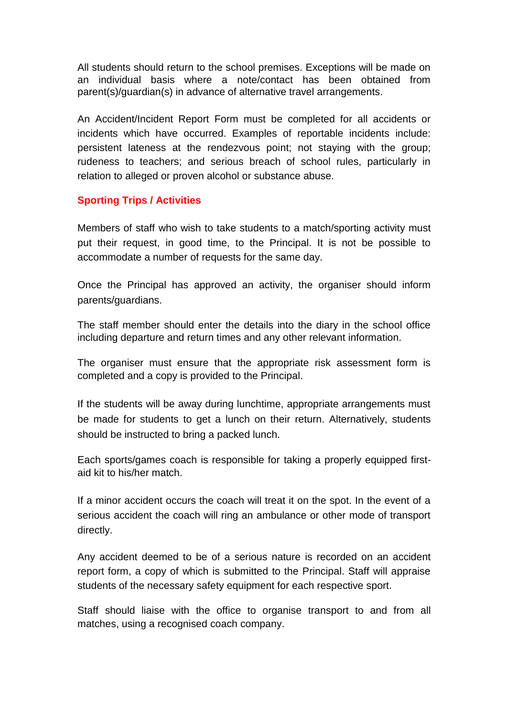All students should return to the school premises. Exceptions will be made on an individual basis where a note/contact has been obtained from parent(s)/guardian(s) in advance of alternative travel arrangements.

An Accident/Incident Report Form must be completed for all accidents or incidents which have occurred. Examples of reportable incidents include: persistent lateness at the rendezvous point; not staying with the group; rudeness to teachers; and serious breach of school rules, particularly in relation to alleged or proven alcohol or substance abuse.

### **Sporting Trips / Activities**

Members of staff who wish to take students to a match/sporting activity must put their request, in good time, to the Principal. It is not be possible to accommodate a number of requests for the same day.

Once the Principal has approved an activity, the organiser should inform parents/guardians.

The staff member should enter the details into the diary in the school office including departure and return times and any other relevant information.

The organiser must ensure that the appropriate risk assessment form is completed and a copy is provided to the Principal.

If the students will be away during lunchtime, appropriate arrangements must be made for students to get a lunch on their return. Alternatively, students should be instructed to bring a packed lunch.

Each sports/games coach is responsible for taking a properly equipped firstaid kit to his/her match.

If a minor accident occurs the coach will treat it on the spot. In the event of a serious accident the coach will ring an ambulance or other mode of transport directly.

Any accident deemed to be of a serious nature is recorded on an accident report form, a copy of which is submitted to the Principal. Staff will appraise students of the necessary safety equipment for each respective sport.

Staff should liaise with the office to organise transport to and from all matches, using a recognised coach company.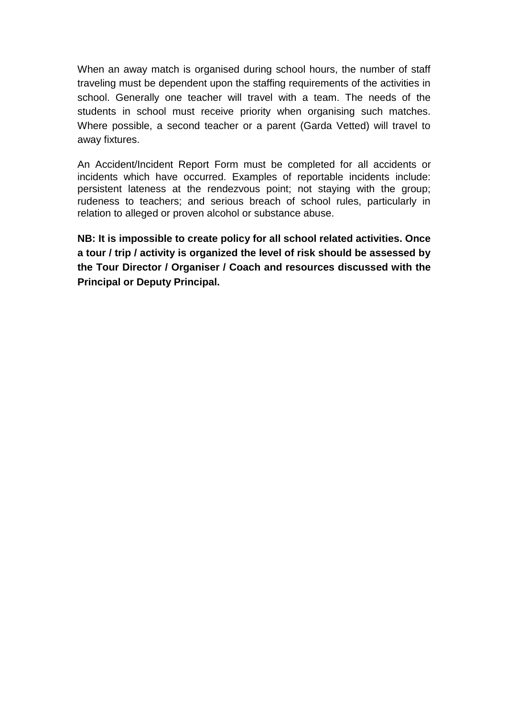When an away match is organised during school hours, the number of staff traveling must be dependent upon the staffing requirements of the activities in school. Generally one teacher will travel with a team. The needs of the students in school must receive priority when organising such matches. Where possible, a second teacher or a parent (Garda Vetted) will travel to away fixtures.

An Accident/Incident Report Form must be completed for all accidents or incidents which have occurred. Examples of reportable incidents include: persistent lateness at the rendezvous point; not staying with the group; rudeness to teachers; and serious breach of school rules, particularly in relation to alleged or proven alcohol or substance abuse.

**NB: It is impossible to create policy for all school related activities. Once a tour / trip / activity is organized the level of risk should be assessed by the Tour Director / Organiser / Coach and resources discussed with the Principal or Deputy Principal.**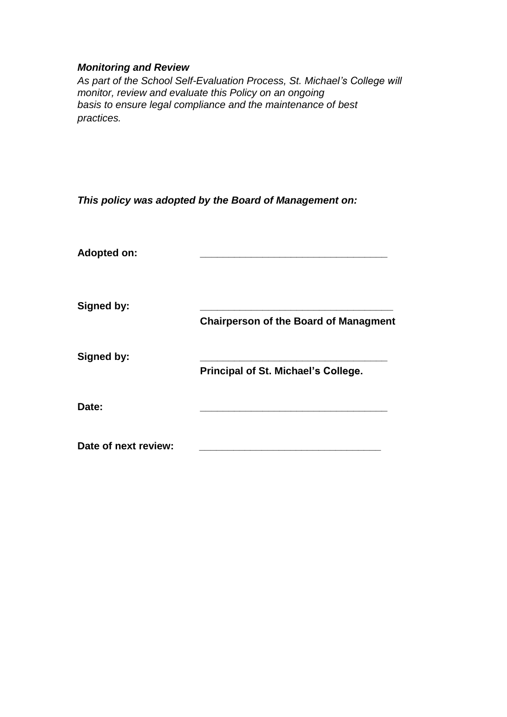### *Monitoring and Review*

*As part of the School Self-Evaluation Process, St. Michael's College will monitor, review and evaluate this Policy on an ongoing basis to ensure legal compliance and the maintenance of best practices.*

*This policy was adopted by the Board of Management on:*

| <b>Adopted on:</b>   |                                              |
|----------------------|----------------------------------------------|
| <b>Signed by:</b>    | <b>Chairperson of the Board of Managment</b> |
| Signed by:           | Principal of St. Michael's College.          |
| Date:                |                                              |
| Date of next review: |                                              |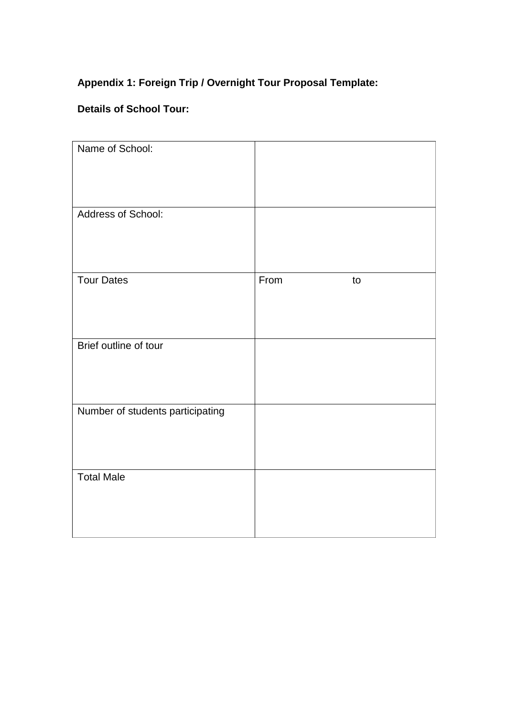# **Appendix 1: Foreign Trip / Overnight Tour Proposal Template:**

# **Details of School Tour:**

| Name of School:<br>Address of School: |            |  |
|---------------------------------------|------------|--|
|                                       |            |  |
| <b>Tour Dates</b>                     | From<br>to |  |
| Brief outline of tour                 |            |  |
| Number of students participating      |            |  |
| <b>Total Male</b>                     |            |  |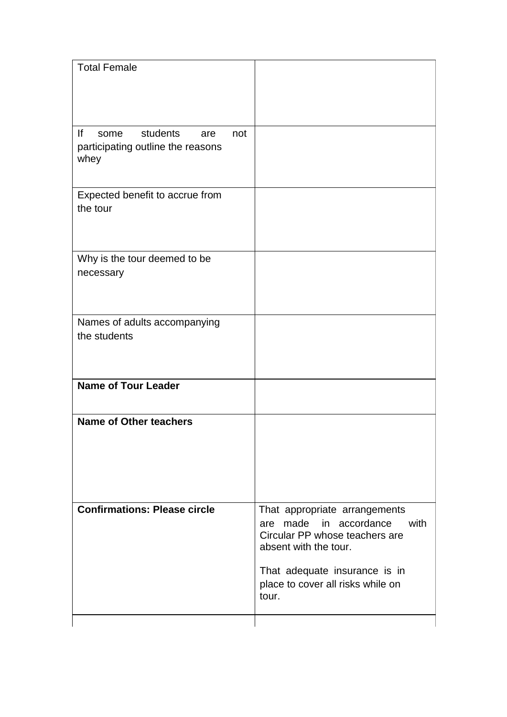| <b>Total Female</b>                                                        |     |                                                                                                                                                                                                           |
|----------------------------------------------------------------------------|-----|-----------------------------------------------------------------------------------------------------------------------------------------------------------------------------------------------------------|
| lf<br>students<br>some<br>are<br>participating outline the reasons<br>whey | not |                                                                                                                                                                                                           |
| Expected benefit to accrue from<br>the tour                                |     |                                                                                                                                                                                                           |
| Why is the tour deemed to be<br>necessary                                  |     |                                                                                                                                                                                                           |
| Names of adults accompanying<br>the students                               |     |                                                                                                                                                                                                           |
| <b>Name of Tour Leader</b>                                                 |     |                                                                                                                                                                                                           |
| <b>Name of Other teachers</b>                                              |     |                                                                                                                                                                                                           |
| <b>Confirmations: Please circle</b>                                        |     | That appropriate arrangements<br>are made in accordance<br>with<br>Circular PP whose teachers are<br>absent with the tour.<br>That adequate insurance is in<br>place to cover all risks while on<br>tour. |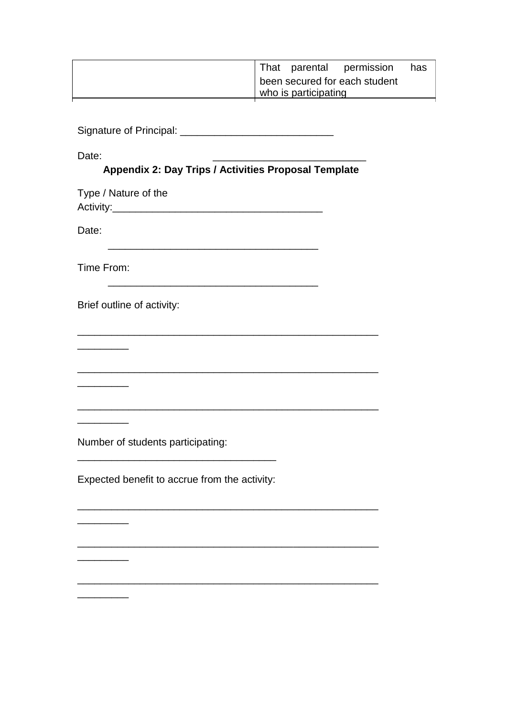|                               |                      | That parental permission | has |
|-------------------------------|----------------------|--------------------------|-----|
| been secured for each student |                      |                          |     |
|                               | who is participating |                          |     |
|                               |                      |                          |     |

Signature of Principal: \_\_\_\_\_\_\_\_\_\_\_\_\_\_\_\_\_\_\_\_\_\_\_\_\_\_\_

Date: \_\_\_\_\_\_\_\_\_\_\_\_\_\_\_\_\_\_\_\_\_\_\_\_\_\_\_

\_\_\_\_\_\_\_\_\_

 $\overline{\phantom{a}}$ 

\_\_\_\_\_\_\_\_\_

 $\overline{\phantom{a}}$ 

 $\overline{\phantom{a}}$ 

 $\overline{\phantom{a}}$ 

# **Appendix 2: Day Trips / Activities Proposal Template**

\_\_\_\_\_\_\_\_\_\_\_\_\_\_\_\_\_\_\_\_\_\_\_\_\_\_\_\_\_\_\_\_\_\_\_\_\_\_\_\_\_\_\_\_\_\_\_\_\_\_\_\_\_

\_\_\_\_\_\_\_\_\_\_\_\_\_\_\_\_\_\_\_\_\_\_\_\_\_\_\_\_\_\_\_\_\_\_\_\_\_\_\_\_\_\_\_\_\_\_\_\_\_\_\_\_\_

\_\_\_\_\_\_\_\_\_\_\_\_\_\_\_\_\_\_\_\_\_\_\_\_\_\_\_\_\_\_\_\_\_\_\_\_\_\_\_\_\_\_\_\_\_\_\_\_\_\_\_\_\_

\_\_\_\_\_\_\_\_\_\_\_\_\_\_\_\_\_\_\_\_\_\_\_\_\_\_\_\_\_\_\_\_\_\_\_\_\_\_\_\_\_\_\_\_\_\_\_\_\_\_\_\_\_

\_\_\_\_\_\_\_\_\_\_\_\_\_\_\_\_\_\_\_\_\_\_\_\_\_\_\_\_\_\_\_\_\_\_\_\_\_\_\_\_\_\_\_\_\_\_\_\_\_\_\_\_\_

Type / Nature of the Activity:\_\_\_\_\_\_\_\_\_\_\_\_\_\_\_\_\_\_\_\_\_\_\_\_\_\_\_\_\_\_\_\_\_\_\_\_\_ Date: \_\_\_\_\_\_\_\_\_\_\_\_\_\_\_\_\_\_\_\_\_\_\_\_\_\_\_\_\_\_\_\_\_\_\_\_\_ Time From: \_\_\_\_\_\_\_\_\_\_\_\_\_\_\_\_\_\_\_\_\_\_\_\_\_\_\_\_\_\_\_\_\_\_\_\_\_ Brief outline of activity:

Number of students participating:

Expected benefit to accrue from the activity:

\_\_\_\_\_\_\_\_\_\_\_\_\_\_\_\_\_\_\_\_\_\_\_\_\_\_\_\_\_\_\_\_\_\_\_